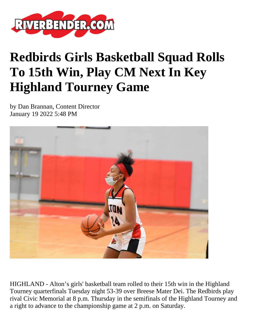

## **Redbirds Girls Basketball Squad Rolls To 15th Win, Play CM Next In Key Highland Tourney Game**

by Dan Brannan, Content Director January 19 2022 5:48 PM



HIGHLAND - Alton's girls' basketball team rolled to their 15th win in the Highland Tourney quarterfinals Tuesday night 53-39 over Breese Mater Dei. The Redbirds play rival Civic Memorial at 8 p.m. Thursday in the semifinals of the Highland Tourney and a right to advance to the championship game at 2 p.m. on Saturday.